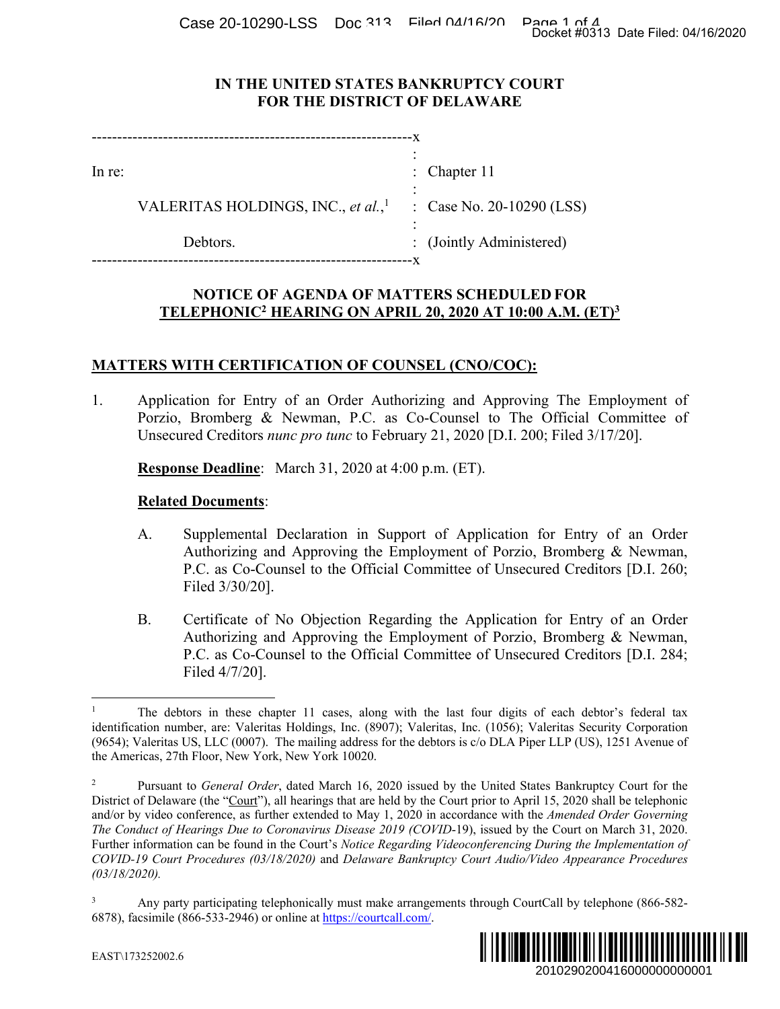Case 20-10290-LSS Doc 313 Filed 04/16/20 Page 1 of 4<br>Docket #0313 Date Filed: 04/16/2020

### **IN THE UNITED STATES BANKRUPTCY COURT FOR THE DISTRICT OF DELAWARE**

| In re: |                                                | : Chapter $11$            |
|--------|------------------------------------------------|---------------------------|
|        | VALERITAS HOLDINGS, INC., et al., <sup>1</sup> | : Case No. 20-10290 (LSS) |
|        | Debtors.                                       | : (Jointly Administered)  |
|        |                                                |                           |

## **NOTICE OF AGENDA OF MATTERS SCHEDULED FOR TELEPHONIC2 HEARING ON APRIL 20, 2020 AT 10:00 A.M. (ET)3**

# **MATTERS WITH CERTIFICATION OF COUNSEL (CNO/COC):**

1. Application for Entry of an Order Authorizing and Approving The Employment of Porzio, Bromberg & Newman, P.C. as Co-Counsel to The Official Committee of Unsecured Creditors *nunc pro tunc* to February 21, 2020 [D.I. 200; Filed 3/17/20].

# **Response Deadline**: March 31, 2020 at 4:00 p.m. (ET).

## **Related Documents**:

- A. Supplemental Declaration in Support of Application for Entry of an Order Authorizing and Approving the Employment of Porzio, Bromberg & Newman, P.C. as Co-Counsel to the Official Committee of Unsecured Creditors [D.I. 260; Filed 3/30/20].
- B. Certificate of No Objection Regarding the Application for Entry of an Order Authorizing and Approving the Employment of Porzio, Bromberg & Newman, P.C. as Co-Counsel to the Official Committee of Unsecured Creditors [D.I. 284; Filed 4/7/20].

<sup>3</sup> Any party participating telephonically must make arrangements through CourtCall by telephone (866-582- 6878), facsimile (866-533-2946) or online at https://courtcall.com/.



 $\overline{a}$ 1 The debtors in these chapter 11 cases, along with the last four digits of each debtor's federal tax identification number, are: Valeritas Holdings, Inc. (8907); Valeritas, Inc. (1056); Valeritas Security Corporation (9654); Valeritas US, LLC (0007). The mailing address for the debtors is c/o DLA Piper LLP (US), 1251 Avenue of the Americas, 27th Floor, New York, New York 10020.

<sup>2</sup> Pursuant to *General Order*, dated March 16, 2020 issued by the United States Bankruptcy Court for the District of Delaware (the "Court"), all hearings that are held by the Court prior to April 15, 2020 shall be telephonic and/or by video conference, as further extended to May 1, 2020 in accordance with the *Amended Order Governing The Conduct of Hearings Due to Coronavirus Disease 2019 (COVID*-19), issued by the Court on March 31, 2020. Further information can be found in the Court's *Notice Regarding Videoconferencing During the Implementation of COVID-19 Court Procedures (03/18/2020)* and *Delaware Bankruptcy Court Audio/Video Appearance Procedures (03/18/2020).* Docket #0313 Date Filed: 04/16/2020<br>
2010 (LSS)<br>
2010 (LSS)<br>
2210 CINT<br>
22210 CINT<br>
22210 DOC CITC:<br>
22210 DOC CITC:<br>
22210 DOC CITC:<br>
2211 Docket #0317/20].<br>
2211 Docket Filed: 3/17/20].<br>
2010 CITC: DOC CITC: 284;<br>
2010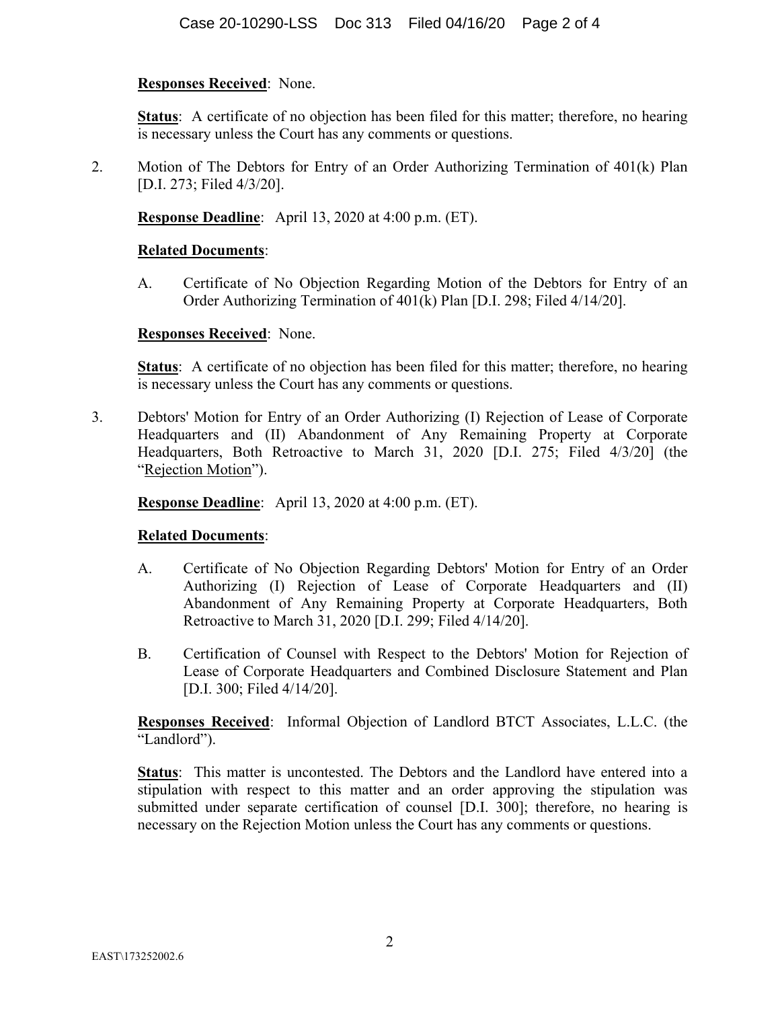### **Responses Received**: None.

**Status:** A certificate of no objection has been filed for this matter; therefore, no hearing is necessary unless the Court has any comments or questions.

2. Motion of The Debtors for Entry of an Order Authorizing Termination of 401(k) Plan [D.I. 273; Filed 4/3/20].

**Response Deadline**: April 13, 2020 at 4:00 p.m. (ET).

### **Related Documents**:

A. Certificate of No Objection Regarding Motion of the Debtors for Entry of an Order Authorizing Termination of 401(k) Plan [D.I. 298; Filed 4/14/20].

#### **Responses Received**: None.

**Status**: A certificate of no objection has been filed for this matter; therefore, no hearing is necessary unless the Court has any comments or questions.

3. Debtors' Motion for Entry of an Order Authorizing (I) Rejection of Lease of Corporate Headquarters and (II) Abandonment of Any Remaining Property at Corporate Headquarters, Both Retroactive to March 31, 2020 [D.I. 275; Filed 4/3/20] (the "Rejection Motion").

#### **Response Deadline**: April 13, 2020 at 4:00 p.m. (ET).

### **Related Documents**:

- A. Certificate of No Objection Regarding Debtors' Motion for Entry of an Order Authorizing (I) Rejection of Lease of Corporate Headquarters and (II) Abandonment of Any Remaining Property at Corporate Headquarters, Both Retroactive to March 31, 2020 [D.I. 299; Filed 4/14/20].
- B. Certification of Counsel with Respect to the Debtors' Motion for Rejection of Lease of Corporate Headquarters and Combined Disclosure Statement and Plan [D.I. 300; Filed 4/14/20].

**Responses Received**: Informal Objection of Landlord BTCT Associates, L.L.C. (the "Landlord").

**Status**: This matter is uncontested. The Debtors and the Landlord have entered into a stipulation with respect to this matter and an order approving the stipulation was submitted under separate certification of counsel [D.I. 300]; therefore, no hearing is necessary on the Rejection Motion unless the Court has any comments or questions.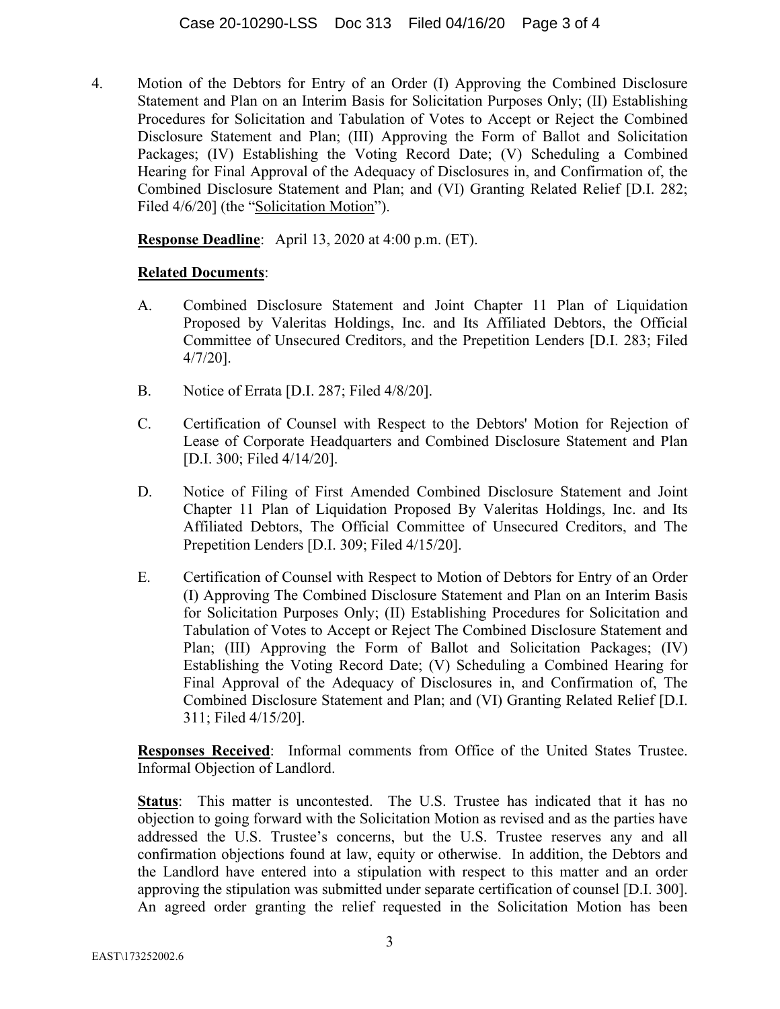4. Motion of the Debtors for Entry of an Order (I) Approving the Combined Disclosure Statement and Plan on an Interim Basis for Solicitation Purposes Only; (II) Establishing Procedures for Solicitation and Tabulation of Votes to Accept or Reject the Combined Disclosure Statement and Plan; (III) Approving the Form of Ballot and Solicitation Packages; (IV) Establishing the Voting Record Date; (V) Scheduling a Combined Hearing for Final Approval of the Adequacy of Disclosures in, and Confirmation of, the Combined Disclosure Statement and Plan; and (VI) Granting Related Relief [D.I. 282; Filed  $4/6/20$ ] (the "Solicitation Motion").

**Response Deadline**: April 13, 2020 at 4:00 p.m. (ET).

## **Related Documents**:

- A. Combined Disclosure Statement and Joint Chapter 11 Plan of Liquidation Proposed by Valeritas Holdings, Inc. and Its Affiliated Debtors, the Official Committee of Unsecured Creditors, and the Prepetition Lenders [D.I. 283; Filed 4/7/20].
- B. Notice of Errata [D.I. 287; Filed 4/8/20].
- C. Certification of Counsel with Respect to the Debtors' Motion for Rejection of Lease of Corporate Headquarters and Combined Disclosure Statement and Plan [D.I. 300; Filed 4/14/20].
- D. Notice of Filing of First Amended Combined Disclosure Statement and Joint Chapter 11 Plan of Liquidation Proposed By Valeritas Holdings, Inc. and Its Affiliated Debtors, The Official Committee of Unsecured Creditors, and The Prepetition Lenders [D.I. 309; Filed 4/15/20].
- E. Certification of Counsel with Respect to Motion of Debtors for Entry of an Order (I) Approving The Combined Disclosure Statement and Plan on an Interim Basis for Solicitation Purposes Only; (II) Establishing Procedures for Solicitation and Tabulation of Votes to Accept or Reject The Combined Disclosure Statement and Plan; (III) Approving the Form of Ballot and Solicitation Packages; (IV) Establishing the Voting Record Date; (V) Scheduling a Combined Hearing for Final Approval of the Adequacy of Disclosures in, and Confirmation of, The Combined Disclosure Statement and Plan; and (VI) Granting Related Relief [D.I. 311; Filed 4/15/20].

**Responses Received**: Informal comments from Office of the United States Trustee. Informal Objection of Landlord.

**Status**: This matter is uncontested. The U.S. Trustee has indicated that it has no objection to going forward with the Solicitation Motion as revised and as the parties have addressed the U.S. Trustee's concerns, but the U.S. Trustee reserves any and all confirmation objections found at law, equity or otherwise. In addition, the Debtors and the Landlord have entered into a stipulation with respect to this matter and an order approving the stipulation was submitted under separate certification of counsel [D.I. 300]. An agreed order granting the relief requested in the Solicitation Motion has been